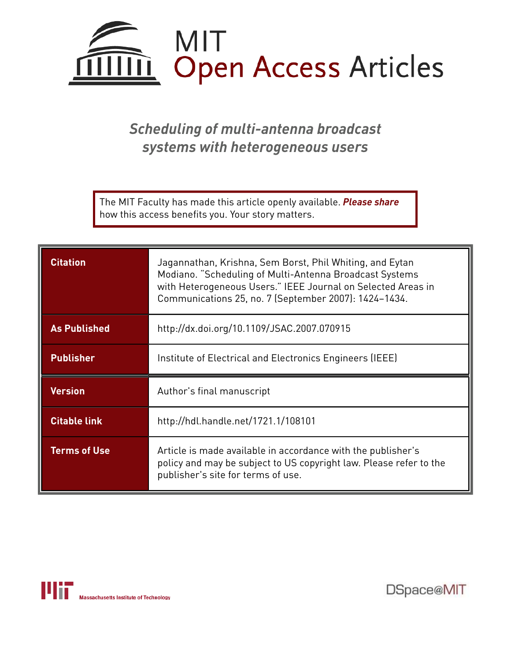

*Scheduling of multi-antenna broadcast systems with heterogeneous users*

The MIT Faculty has made this article openly available. *Please share*  how this access benefits you. Your story matters.

| <b>Citation</b>     | Jagannathan, Krishna, Sem Borst, Phil Whiting, and Eytan<br>Modiano. "Scheduling of Multi-Antenna Broadcast Systems<br>with Heterogeneous Users." IEEE Journal on Selected Areas in<br>Communications 25, no. 7 (September 2007): 1424-1434. |
|---------------------|----------------------------------------------------------------------------------------------------------------------------------------------------------------------------------------------------------------------------------------------|
| <b>As Published</b> | http://dx.doi.org/10.1109/JSAC.2007.070915                                                                                                                                                                                                   |
| <b>Publisher</b>    | Institute of Electrical and Electronics Engineers (IEEE)                                                                                                                                                                                     |
| <b>Version</b>      | Author's final manuscript                                                                                                                                                                                                                    |
|                     |                                                                                                                                                                                                                                              |
| <b>Citable link</b> | http://hdl.handle.net/1721.1/108101                                                                                                                                                                                                          |



DSpace@MIT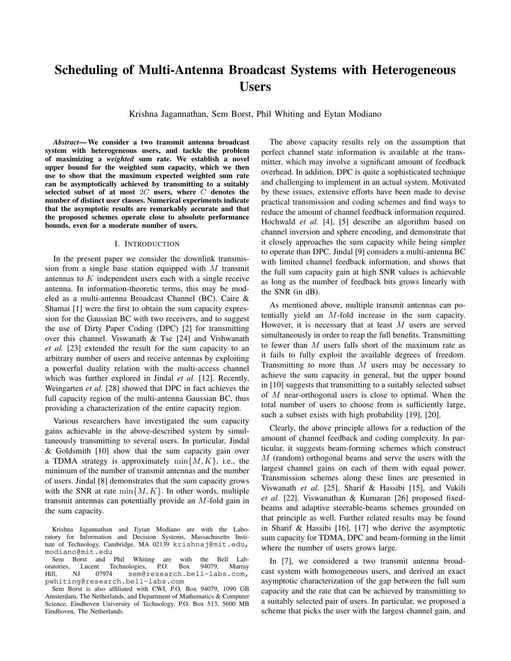# **Scheduling of Multi-Antenna Broadcast Systems with Heterogeneous Users**

Krishna Jagannathan, Sem Borst, Phil Whiting and Eytan Modiano

*Abstract***— We consider a two transmit antenna broadcast system with heterogeneous users, and tackle the problem of maximizing a** *weighted* **sum rate. We establish a novel upper bound for the weighted sum capacity, which we then use to show that the maximum expected weighted sum rate can be asymptotically achieved by transmitting to a suitably selected subset of at most** 2C **users, where** C **denotes the number of distinct user classes. Numerical experiments indicate that the asymptotic results are remarkably accurate and that the proposed schemes operate close to absolute performance bounds, even for a moderate number of users.**

#### I. INTRODUCTION

In the present paper we consider the downlink transmission from a single base station equipped with  $M$  transmit antennas to K independent users each with a single receive antenna. In information-theoretic terms, this may be modeled as a multi-antenna Broadcast Channel (BC). Caire & Shamai [1] were the first to obtain the sum capacity expression for the Gaussian BC with two receivers, and to suggest the use of Dirty Paper Coding (DPC) [2] for transmitting over this channel. Viswanath & Tse [24] and Vishwanath *et al.* [23] extended the result for the sum capacity to an arbitrary number of users and receive antennas by exploiting a powerful duality relation with the multi-access channel which was further explored in Jindal *et al.* [12]. Recently, Weingarten *et al.* [28] showed that DPC in fact achieves the full capacity region of the multi-antenna Gaussian BC, thus providing a characterization of the entire capacity region.

Various researchers have investigated the sum capacity gains achievable in the above-described system by simultaneously transmitting to several users. In particular, Jindal & Goldsmith [10] show that the sum capacity gain over a TDMA strategy is approximately  $\min\{M, K\}$ , i.e., the minimum of the number of transmit antennas and the number of users. Jindal [8] demonstrates that the sum capacity grows with the SNR at rate  $\min\{M, K\}$ . In other words, multiple transmit antennas can potentially provide an M-fold gain in the sum capacity.

The above capacity results rely on the assumption that perfect channel state information is available at the transmitter, which may involve a significant amount of feedback overhead. In addition, DPC is quite a sophisticated technique and challenging to implement in an actual system. Motivated by these issues, extensive efforts have been made to devise practical transmission and coding schemes and find ways to reduce the amount of channel feedback information required. Hochwald *et al.* [4], [5] describe an algorithm based on channel inversion and sphere encoding, and demonstrate that it closely approaches the sum capacity while being simpler to operate than DPC. Jindal [9] considers a multi-antenna BC with limited channel feedback information, and shows that the full sum capacity gain at high SNR values is achievable as long as the number of feedback bits grows linearly with the SNR (in dB).

As mentioned above, multiple transmit antennas can potentially yield an M-fold increase in the sum capacity. However, it is necessary that at least  $M$  users are served simultaneously in order to reap the full benefits. Transmitting to fewer than  $M$  users falls short of the maximum rate as it fails to fully exploit the available degrees of freedom. Transmitting to more than  $M$  users may be necessary to achieve the sum capacity in general, but the upper bound in [10] suggests that transmitting to a suitably selected subset of M near-orthogonal users is close to optimal. When the total number of users to choose from is sufficiently large, such a subset exists with high probability [19], [20].

Clearly, the above principle allows for a reduction of the amount of channel feedback and coding complexity. In particular, it suggests beam-forming schemes which construct  $M$  (random) orthogonal beams and serve the users with the largest channel gains on each of them with equal power. Transmission schemes along these lines are presented in Viswanath *et al.* [25], Sharif & Hassibi [15], and Vakili *et al.* [22]. Viswanathan & Kumaran [26] proposed fixedbeams and adaptive steerable-beams schemes grounded on that principle as well. Further related results may be found in Sharif & Hassibi [16], [17] who derive the asymptotic sum capacity for TDMA, DPC and beam-forming in the limit where the number of users grows large.

In [7], we considered a two transmit antenna broadcast system with homogeneous users, and derived an exact asymptotic characterization of the gap between the full sum capacity and the rate that can be achieved by transmitting to a suitably selected pair of users. In particular, we proposed a scheme that picks the user with the largest channel gain, and

Krishna Jagannathan and Eytan Modiano are with the Laboratory for Information and Decision Systems, Massachusetts Institute of Technology, Cambridge, MA 02139 krishnaj@mit.edu, modiano@mit.edu

Sem Borst and Phil Whiting are with the Bell Lab-<br>atories. Lucent Technologies. P.O. Box 94079. Murray oratories, Lucent Technologies, P.O. Box<br>Hill NJ 07974 sem@research.be Hill, NJ 07974 sem@research.bell-labs.com, pwhiting@research.bell-labs.com

Sem Borst is also affiliated with CWI, P.O. Box 94079, 1090 GB Amsterdam, The Netherlands, and Department of Mathematics & Computer Science, Eindhoven University of Technology, P.O. Box 513, 5600 MB Eindhoven, The Netherlands.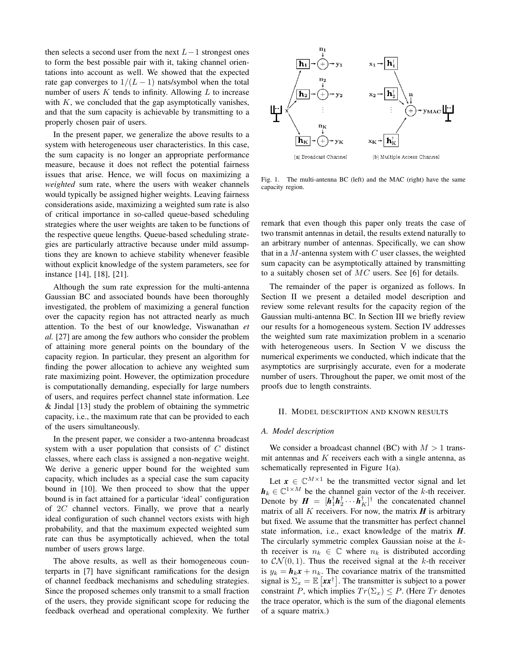then selects a second user from the next  $L-1$  strongest ones to form the best possible pair with it, taking channel orientations into account as well. We showed that the expected rate gap converges to  $1/(L-1)$  nats/symbol when the total number of users  $K$  tends to infinity. Allowing  $L$  to increase with  $K$ , we concluded that the gap asymptotically vanishes, and that the sum capacity is achievable by transmitting to a properly chosen pair of users.

In the present paper, we generalize the above results to a system with heterogeneous user characteristics. In this case, the sum capacity is no longer an appropriate performance measure, because it does not reflect the potential fairness issues that arise. Hence, we will focus on maximizing a *weighted* sum rate, where the users with weaker channels would typically be assigned higher weights. Leaving fairness considerations aside, maximizing a weighted sum rate is also of critical importance in so-called queue-based scheduling strategies where the user weights are taken to be functions of the respective queue lengths. Queue-based scheduling strategies are particularly attractive because under mild assumptions they are known to achieve stability whenever feasible without explicit knowledge of the system parameters, see for instance [14], [18], [21].

Although the sum rate expression for the multi-antenna Gaussian BC and associated bounds have been thoroughly investigated, the problem of maximizing a general function over the capacity region has not attracted nearly as much attention. To the best of our knowledge, Viswanathan *et al.* [27] are among the few authors who consider the problem of attaining more general points on the boundary of the capacity region. In particular, they present an algorithm for finding the power allocation to achieve any weighted sum rate maximizing point. However, the optimization procedure is computationally demanding, especially for large numbers of users, and requires perfect channel state information. Lee & Jindal [13] study the problem of obtaining the symmetric capacity, i.e., the maximum rate that can be provided to each of the users simultaneously.

In the present paper, we consider a two-antenna broadcast system with a user population that consists of C distinct classes, where each class is assigned a non-negative weight. We derive a generic upper bound for the weighted sum capacity, which includes as a special case the sum capacity bound in [10]. We then proceed to show that the upper bound is in fact attained for a particular 'ideal' configuration of 2C channel vectors. Finally, we prove that a nearly ideal configuration of such channel vectors exists with high probability, and that the maximum expected weighted sum rate can thus be asymptotically achieved, when the total number of users grows large.

The above results, as well as their homogeneous counterparts in [7] have significant ramifications for the design of channel feedback mechanisms and scheduling strategies. Since the proposed schemes only transmit to a small fraction of the users, they provide significant scope for reducing the feedback overhead and operational complexity. We further



Fig. 1. The multi-antenna BC (left) and the MAC (right) have the same capacity region.

remark that even though this paper only treats the case of two transmit antennas in detail, the results extend naturally to an arbitrary number of antennas. Specifically, we can show that in a  $M$ -antenna system with  $C$  user classes, the weighted sum capacity can be asymptotically attained by transmitting to a suitably chosen set of MC users. See [6] for details.

The remainder of the paper is organized as follows. In Section II we present a detailed model description and review some relevant results for the capacity region of the Gaussian multi-antenna BC. In Section III we briefly review our results for a homogeneous system. Section IV addresses the weighted sum rate maximization problem in a scenario with heterogeneous users. In Section V we discuss the numerical experiments we conducted, which indicate that the asymptotics are surprisingly accurate, even for a moderate number of users. Throughout the paper, we omit most of the proofs due to length constraints.

## II. MODEL DESCRIPTION AND KNOWN RESULTS

## *A. Model description*

We consider a broadcast channel (BC) with  $M > 1$  transmit antennas and  $K$  receivers each with a single antenna, as schematically represented in Figure 1(a).

Let  $x \in \mathbb{C}^{M \times 1}$  be the transmitted vector signal and let  $h_k \in \mathbb{C}^{1 \times M}$  be the channel gain vector of the k-th receiver. Denote by  $\mathbf{H} = [\mathbf{h}_1^{\dagger} \mathbf{h}_2^{\dagger} \cdots \mathbf{h}_K^{\dagger}]^{\dagger}$  the concatenated channel matrix of all  $K$  receivers. For now, the matrix  $H$  is arbitrary but fixed. We assume that the transmitter has perfect channel state information, i.e., exact knowledge of the matrix *H*. The circularly symmetric complex Gaussian noise at the kth receiver is  $n_k \in \mathbb{C}$  where  $n_k$  is distributed according to  $CN(0, 1)$ . Thus the received signal at the k-th receiver is  $y_k = h_k x + n_k$ . The covariance matrix of the transmitted signal is  $\Sigma_x = \mathbb{E} \left[ x x^{\dagger} \right]$ . The transmitter is subject to a power constraint P, which implies  $Tr(\Sigma_x) \leq P$ . (Here  $Tr$  denotes the trace operator, which is the sum of the diagonal elements of a square matrix.)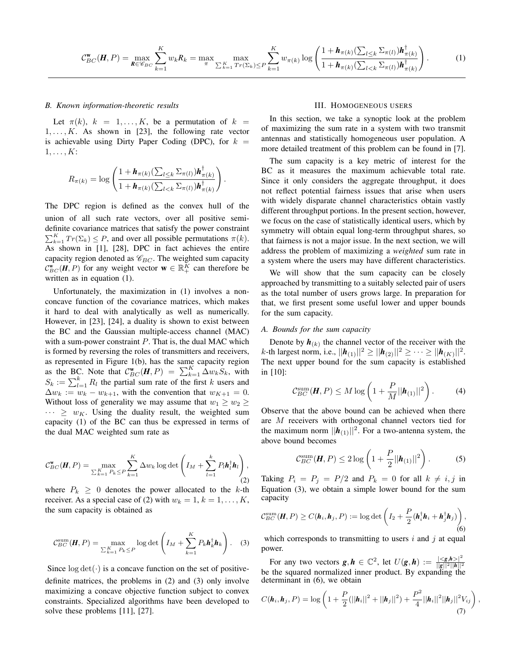$$
\mathcal{C}_{BC}^{\mathbf{w}}(\boldsymbol{H},P) = \max_{\boldsymbol{R}\in\mathscr{C}_{BC}}\sum_{k=1}^{K}w_{k}R_{k} = \max_{\pi}\max_{\sum_{k=1}^{K}Tr(\Sigma_{k})\leq P}\sum_{k=1}^{K}w_{\pi(k)}\log\left(\frac{1+\boldsymbol{h}_{\pi(k)}(\sum_{l\leq k}\Sigma_{\pi(l)})\boldsymbol{h}_{\pi(k)}^{\dagger}}{1+\boldsymbol{h}_{\pi(k)}(\sum_{l< k}\Sigma_{\pi(l)})\boldsymbol{h}_{\pi(k)}^{\dagger}}\right).
$$
(1)

## *B. Known information-theoretic results*

Let  $\pi(k)$ ,  $k = 1, \ldots, K$ , be a permutation of  $k =$  $1, \ldots, K$ . As shown in [23], the following rate vector is achievable using Dirty Paper Coding (DPC), for  $k =$  $1, \ldots, K$ :

$$
R_{\pi(k)} = \log \left( \frac{1 + \mathbf{h}_{\pi(k)}(\sum_{l \leq k} \Sigma_{\pi(l)}) \mathbf{h}_{\pi(k)}^{\dagger}}{1 + \mathbf{h}_{\pi(k)}(\sum_{l < k} \Sigma_{\pi(l)}) \mathbf{h}_{\pi(k)}^{\dagger}} \right).
$$

The DPC region is defined as the convex hull of the union of all such rate vectors, over all positive semidefinite covariance matrices that satisfy the power constraint  $\sum_{k=1}^{K} Tr(\Sigma_k) \leq P$ , and over all possible permutations  $\pi(k)$ . As shown in [1], [28], DPC in fact achieves the entire capacity region denoted as  $\mathcal{C}_{BC}$ . The weighted sum capacity  $\mathcal{C}_{BC}^{\mathbf{w}}(H, P)$  for any weight vector **w**  $\in \mathbb{R}_+^K$  can therefore be written as in equation (1).

Unfortunately, the maximization in (1) involves a nonconcave function of the covariance matrices, which makes it hard to deal with analytically as well as numerically. However, in [23], [24], a duality is shown to exist between the BC and the Gaussian multiple-access channel (MAC) with a sum-power constraint  $P$ . That is, the dual MAC which is formed by reversing the roles of transmitters and receivers, as represented in Figure 1(b), has the same capacity region as the BC. Note that  $C_{BC}^{\mathbf{w}}(\mathbf{H}, P) = \sum_{k=1}^{K} \Delta w_k S_k$ , with  $S_k := \sum_{l=1}^k R_l$  the partial sum rate of the first k users and  $\Delta w_k := w_k - w_{k+1}$ , with the convention that  $w_{K+1} = 0$ . Without loss of generality we may assume that  $w_1 \geq w_2 \geq$  $\cdots \geq w_K$ . Using the duality result, the weighted sum capacity (1) of the BC can thus be expressed in terms of the dual MAC weighted sum rate as

$$
\mathcal{C}_{BC}^{\mathbf{w}}(\boldsymbol{H}, P) = \max_{\sum_{k=1}^{K} P_k \leq P} \sum_{k=1}^{K} \Delta w_k \log \det \left( I_M + \sum_{l=1}^{k} P_l \boldsymbol{h}_l^{\dagger} \boldsymbol{h}_l \right),\tag{2}
$$

where  $P_k \geq 0$  denotes the power allocated to the k-th receiver. As a special case of (2) with  $w_k = 1, k = 1, ..., K$ , the sum capacity is obtained as

$$
\mathcal{C}_{BC}^{\text{sum}}(\boldsymbol{H}, P) = \max_{\sum_{k=1}^{K} P_k \leq P} \log \det \left( I_M + \sum_{k=1}^{K} P_k \boldsymbol{h}_k^\dagger \boldsymbol{h}_k \right). \quad (3)
$$

Since  $\log \det(\cdot)$  is a concave function on the set of positivedefinite matrices, the problems in (2) and (3) only involve maximizing a concave objective function subject to convex constraints. Specialized algorithms have been developed to solve these problems [11], [27].

#### III. HOMOGENEOUS USERS

In this section, we take a synoptic look at the problem of maximizing the sum rate in a system with two transmit antennas and statistically homogeneous user population. A more detailed treatment of this problem can be found in [7].

The sum capacity is a key metric of interest for the BC as it measures the maximum achievable total rate. Since it only considers the aggregate throughput, it does not reflect potential fairness issues that arise when users with widely disparate channel characteristics obtain vastly different throughput portions. In the present section, however, we focus on the case of statistically identical users, which by symmetry will obtain equal long-term throughput shares, so that fairness is not a major issue. In the next section, we will address the problem of maximizing a *weighted* sum rate in a system where the users may have different characteristics.

We will show that the sum capacity can be closely approached by transmitting to a suitably selected pair of users as the total number of users grows large. In preparation for that, we first present some useful lower and upper bounds for the sum capacity.

## *A. Bounds for the sum capacity*

Denote by  $h_{(k)}$  the channel vector of the receiver with the  $k$ -th largest norm, i.e.,  $||h_{(1)}||^2 \ge ||h_{(2)}||^2 \ge \cdots \ge ||h_{(K)}||^2$ . The next upper bound for the sum capacity is established in [10]:

$$
\mathcal{C}_{BC}^{\text{sum}}(\boldsymbol{H}, P) \leq M \log \left( 1 + \frac{P}{M} ||\boldsymbol{h}_{(1)}||^2 \right). \tag{4}
$$

Observe that the above bound can be achieved when there are M receivers with orthogonal channel vectors tied for the maximum norm  $||h_{(1)}||^2$ . For a two-antenna system, the above bound becomes

$$
\mathcal{C}_{BC}^{\text{sum}}(\boldsymbol{H}, P) \le 2 \log \left( 1 + \frac{P}{2} ||\boldsymbol{h}_{(1)}||^2 \right). \tag{5}
$$

Taking  $P_i = P_j = P/2$  and  $P_k = 0$  for all  $k \neq i, j$  in Equation (3), we obtain a simple lower bound for the sum capacity

$$
\mathcal{C}_{BC}^{\text{sum}}(\boldsymbol{H}, P) \geq C(\boldsymbol{h}_i, \boldsymbol{h}_j, P) := \log \det \left( I_2 + \frac{P}{2} (\boldsymbol{h}_i^{\dagger} \boldsymbol{h}_i + \boldsymbol{h}_j^{\dagger} \boldsymbol{h}_j) \right), \tag{6}
$$

which corresponds to transmitting to users  $i$  and  $j$  at equal power.

For any two vectors  $g, h \in \mathbb{C}^2$ , let  $U(g, h) := \frac{|\langle g, h \rangle|^2}{\|g\|^2 \|h\|^2}$ For any two vectors  $g, n \in \mathbb{C}^2$ , let  $U(g, n) := \frac{\frac{1}{\|g\|^2 \|h\|^2}}{\|g\|^2 \|h\|^2}$  be the squared normalized inner product. By expanding the determinant in (6), we obtain

$$
C(\boldsymbol{h}_i, \boldsymbol{h}_j, P) = \log \left( 1 + \frac{P}{2} (||\boldsymbol{h}_i||^2 + ||\boldsymbol{h}_j||^2) + \frac{P^2}{4} ||\boldsymbol{h}_i||^2 ||\boldsymbol{h}_j||^2 V_{ij} \right)
$$
(7)

,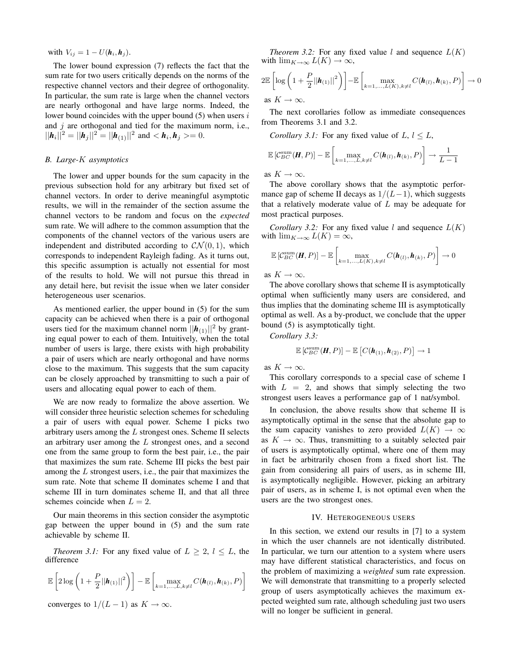with  $V_{ij} = 1 - U(\mathbf{h}_i, \mathbf{h}_j)$ .

The lower bound expression (7) reflects the fact that the sum rate for two users critically depends on the norms of the respective channel vectors and their degree of orthogonality. In particular, the sum rate is large when the channel vectors are nearly orthogonal and have large norms. Indeed, the lower bound coincides with the upper bound  $(5)$  when users i and  $j$  are orthogonal and tied for the maximum norm, i.e.,  $||h_i||^2 = ||h_j||^2 = ||h_{(1)}||^2$  and  $\langle h_i, h_j \rangle = 0$ .

## *B. Large-*K *asymptotics*

The lower and upper bounds for the sum capacity in the previous subsection hold for any arbitrary but fixed set of channel vectors. In order to derive meaningful asymptotic results, we will in the remainder of the section assume the channel vectors to be random and focus on the *expected* sum rate. We will adhere to the common assumption that the components of the channel vectors of the various users are independent and distributed according to  $\mathcal{CN}(0,1)$ , which corresponds to independent Rayleigh fading. As it turns out, this specific assumption is actually not essential for most of the results to hold. We will not pursue this thread in any detail here, but revisit the issue when we later consider heterogeneous user scenarios.

As mentioned earlier, the upper bound in (5) for the sum capacity can be achieved when there is a pair of orthogonal users tied for the maximum channel norm  $||h_{(1)}||^2$  by granting equal power to each of them. Intuitively, when the total number of users is large, there exists with high probability a pair of users which are nearly orthogonal and have norms close to the maximum. This suggests that the sum capacity can be closely approached by transmitting to such a pair of users and allocating equal power to each of them.

We are now ready to formalize the above assertion. We will consider three heuristic selection schemes for scheduling a pair of users with equal power. Scheme I picks two arbitrary users among the  $L$  strongest ones. Scheme II selects an arbitrary user among the L strongest ones, and a second one from the same group to form the best pair, i.e., the pair that maximizes the sum rate. Scheme III picks the best pair among the L strongest users, i.e., the pair that maximizes the sum rate. Note that scheme II dominates scheme I and that scheme III in turn dominates scheme II, and that all three schemes coincide when  $L = 2$ .

Our main theorems in this section consider the asymptotic gap between the upper bound in (5) and the sum rate achievable by scheme II.

*Theorem 3.1:* For any fixed value of  $L \geq 2$ ,  $l \leq L$ , the difference

$$
\mathbb{E}\left[2\log\left(1+\frac{P}{2}||\boldsymbol{h}_{(1)}||^2\right)\right] - \mathbb{E}\left[\max_{k=1,\ldots,L,k\neq l} C(\boldsymbol{h}_{(l)},\boldsymbol{h}_{(k)},P)\right]
$$

converges to  $1/(L-1)$  as  $K \to \infty$ .

*Theorem 3.2:* For any fixed value l and sequence  $L(K)$ with  $\lim_{K\to\infty} L(K) \to \infty$ ,

$$
2\mathbb{E}\left[\log\left(1+\frac{P}{2}||\boldsymbol{h}_{(1)}||^2\right)\right]-\mathbb{E}\left[\max_{k=1,\ldots,L(K),k\neq l}C(\boldsymbol{h}_{(l)},\boldsymbol{h}_{(k)},P)\right]\to 0
$$
as  $K\to\infty$ .

The next corollaries follow as immediate consequences from Theorems 3.1 and 3.2.

Corollary 3.1: For any fixed value of 
$$
L
$$
,  $l \leq L$ ,

$$
\mathbb{E}\left[\mathcal{C}_{BC}^{\text{sum}}(\boldsymbol{H}, P)\right] - \mathbb{E}\left[\max_{k=1,\ldots,L,k\neq l} C(\boldsymbol{h}_{(l)}, \boldsymbol{h}_{(k)}, P)\right] \to \frac{1}{L-1}
$$

as  $K \to \infty$ .

The above corollary shows that the asymptotic performance gap of scheme II decays as  $1/(L-1)$ , which suggests that a relatively moderate value of  $L$  may be adequate for most practical purposes.

*Corollary 3.2:* For any fixed value l and sequence  $L(K)$ with  $\lim_{K\to\infty} L(K) = \infty$ ,

$$
\mathbb{E}\left[\mathcal{C}_{BC}^{\text{sum}}(\boldsymbol{H},P)\right]-\mathbb{E}\left[\max_{k=1,\ldots,L(K),k\neq l}C(\boldsymbol{h}_{(l)},\boldsymbol{h}_{(k)},P)\right]\to 0
$$

as  $K \to \infty$ .

The above corollary shows that scheme II is asymptotically optimal when sufficiently many users are considered, and thus implies that the dominating scheme III is asymptotically optimal as well. As a by-product, we conclude that the upper bound (5) is asymptotically tight.

*Corollary 3.3:*

$$
\mathbb{E}\left[\mathcal{C}_{BC}^{\text{sum}}(\boldsymbol{H},P)\right]-\mathbb{E}\left[C(\boldsymbol{h}_{(1)},\boldsymbol{h}_{(2)},P)\right]\to 1
$$

as  $K \to \infty$ .

This corollary corresponds to a special case of scheme I with  $L = 2$ , and shows that simply selecting the two strongest users leaves a performance gap of 1 nat/symbol.

In conclusion, the above results show that scheme II is asymptotically optimal in the sense that the absolute gap to the sum capacity vanishes to zero provided  $L(K) \rightarrow \infty$ as  $K \to \infty$ . Thus, transmitting to a suitably selected pair of users is asymptotically optimal, where one of them may in fact be arbitrarily chosen from a fixed short list. The gain from considering all pairs of users, as in scheme III, is asymptotically negligible. However, picking an arbitrary pair of users, as in scheme I, is not optimal even when the users are the two strongest ones.

## IV. HETEROGENEOUS USERS

In this section, we extend our results in [7] to a system in which the user channels are not identically distributed. In particular, we turn our attention to a system where users may have different statistical characteristics, and focus on the problem of maximizing a *weighted* sum rate expression. We will demonstrate that transmitting to a properly selected group of users asymptotically achieves the maximum expected weighted sum rate, although scheduling just two users will no longer be sufficient in general.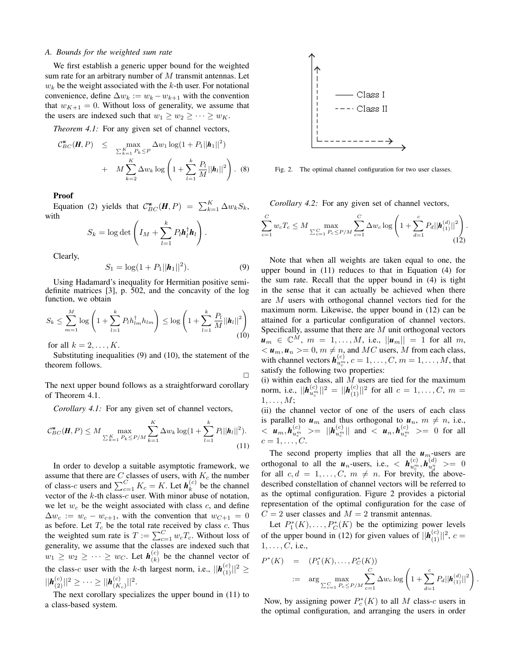## *A. Bounds for the weighted sum rate*

We first establish a generic upper bound for the weighted sum rate for an arbitrary number of M transmit antennas. Let  $w_k$  be the weight associated with the k-th user. For notational convenience, define  $\Delta w_k := w_k - w_{k+1}$  with the convention that  $w_{K+1} = 0$ . Without loss of generality, we assume that the users are indexed such that  $w_1 \geq w_2 \geq \cdots \geq w_K$ .

*Theorem 4.1:* For any given set of channel vectors,

$$
C_{BC}^{w}(H, P) \leq \max_{\substack{\sum_{k=1}^{K} P_k \leq P \\ k \geq 2}} \Delta w_1 \log(1 + P_1 ||h_1||^2) + M \sum_{k=2}^{K} \Delta w_k \log \left(1 + \sum_{l=1}^{k} \frac{P_l}{M} ||h_l||^2\right). \tag{8}
$$

**Proof**

Equation (2) yields that  $C_{BC}^{\mathbf{w}}(\mathbf{H}, P) = \sum_{k=1}^{K} \Delta w_k S_k$ , with

$$
S_k = \log \det \left( I_M + \sum_{l=1}^k P_l \bm{h}_l^{\dagger} \bm{h}_l \right).
$$

Clearly,

$$
S_1 = \log(1 + P_1 ||\boldsymbol{h}_1||^2). \tag{9}
$$

Using Hadamard's inequality for Hermitian positive semidefinite matrices [3], p. 502, and the concavity of the log function, we obtain

$$
S_k \leq \sum_{m=1}^M \log \left( 1 + \sum_{l=1}^k P_l h_{lm}^{\dagger} h_{lm} \right) \leq \log \left( 1 + \sum_{l=1}^k \frac{P_l}{M} ||h_l||^2 \right)
$$
(10)

for all  $k = 2, \ldots, K$ .

Substituting inequalities (9) and (10), the statement of the theorem follows.

 $\Box$ 

The next upper bound follows as a straightforward corollary of Theorem 4.1.

*Corollary 4.1:* For any given set of channel vectors,

$$
C_{BC}^{\mathbf{w}}(\mathbf{H}, P) \leq M \max_{\sum_{k=1}^{K} P_k \leq P/M} \sum_{k=1}^{K} \Delta w_k \log(1 + \sum_{l=1}^{k} P_l ||\mathbf{h}_l||^2).
$$
\n(11)

In order to develop a suitable asymptotic framework, we assume that there are C classes of users, with  $K_c$  the number of class-*c* users and  $\sum_{c=1}^{C} K_c = K$ . Let  $h_k^{(c)}$  be the channel vector of the  $k$ -th class-c user. With minor abuse of notation, we let  $w_c$  be the weight associated with class  $c$ , and define  $\Delta w_c := w_c - w_{c+1}$ , with the convention that  $w_{C+1} = 0$ as before. Let  $T_c$  be the total rate received by class c. Thus the weighted sum rate is  $T := \sum_{c=1}^{C} w_c T_c$ . Without loss of generality, we assume that the classes are indexed such that  $w_1 \geq w_2 \geq \cdots \geq w_C$ . Let  $h_{(k)}^{(c)}$  $\binom{c}{k}$  be the channel vector of the class-c user with the k-th largest norm, i.e.,  $||\boldsymbol{h}_{(1)}^{(c)}||^2 \ge$  $||\bm{h}_{(2)}^{(c)}||^2 \geq \cdots \geq ||\bm{h}_{(K}^{(c)}$  $\frac{(c)}{(K_c)}$ ||<sup>2</sup>.

The next corollary specializes the upper bound in (11) to a class-based system.



Fig. 2. The optimal channel configuration for two user classes.

*Corollary 4.2:* For any given set of channel vectors,

$$
\sum_{c=1}^{C} w_c T_c \leq M \max_{\sum_{c=1}^{C} P_c \leq P/M} \sum_{c=1}^{C} \Delta w_c \log \left( 1 + \sum_{d=1}^{c} P_d ||\boldsymbol{h}_{(1)}^{(d)}||^2 \right).
$$
(12)

Note that when all weights are taken equal to one, the upper bound in (11) reduces to that in Equation (4) for the sum rate. Recall that the upper bound in (4) is tight in the sense that it can actually be achieved when there are M users with orthogonal channel vectors tied for the maximum norm. Likewise, the upper bound in (12) can be attained for a particular configuration of channel vectors. Specifically, assume that there are M unit orthogonal vectors  $u_m \in \mathbb{C}^M$ ,  $m = 1, ..., M$ , i.e.,  $||u_m|| = 1$  for all m,  $\langle u_m, u_n \rangle = 0, m \neq n$ , and MC users, M from each class, with channel vectors  $h_{u_c^m}^{(c)}$ ,  $c = 1, \ldots, C, m = 1, \ldots, M$ , that satisfy the following two properties:

(i) within each class, all  $M$  users are tied for the maximum norm, i.e.,  $||h_{u_c^m}^{(c)}||^2 = ||h_{(1)}^{(c)}||^2$  for all  $c = 1, \ldots, C, m =$  $1, \ldots, M;$ 

(ii) the channel vector of one of the users of each class is parallel to  $u_m$  and thus orthogonal to  $u_n$ ,  $m \neq n$ , i.e.,  $\langle u_m, h_{u_c^m}^{(c)} \rangle = ||h_{u_c^m}^{(c)}||$  and  $\langle u_n, h_{u_c^m}^{(c)} \rangle = 0$  for all  $c=1,\ldots,C$ .

The second property implies that all the  $u_m$ -users are orthogonal to all the  $u_n$ -users, i.e.,  $\langle h_{u_c}^{(c)}, h_{u_d}^{(d)} \rangle = 0$ for all  $c, d = 1, \ldots, C, m \neq n$ . For brevity, the abovedescribed constellation of channel vectors will be referred to as the optimal configuration. Figure 2 provides a pictorial representation of the optimal configuration for the case of  $C = 2$  user classes and  $M = 2$  transmit antennas.

Let  $P_1^*(K), \ldots, P_C^*(K)$  be the optimizing power levels of the upper bound in (12) for given values of  $||h_{(1)}^{(c)}||^2$ ,  $c =$  $1, \ldots, C$ , i.e.,

$$
P^*(K) = (P_1^*(K),...,P_C^*(K))
$$
  
 :=  $\arg \max_{\sum_{c=1}^C P_c \le P/M} \sum_{c=1}^C \Delta w_c \log \left(1 + \sum_{d=1}^c P_d ||h_{(1)}^{(d)}||^2\right)$ 

.

Now, by assigning power  $P_c^*(K)$  to all M class-c users in the optimal configuration, and arranging the users in order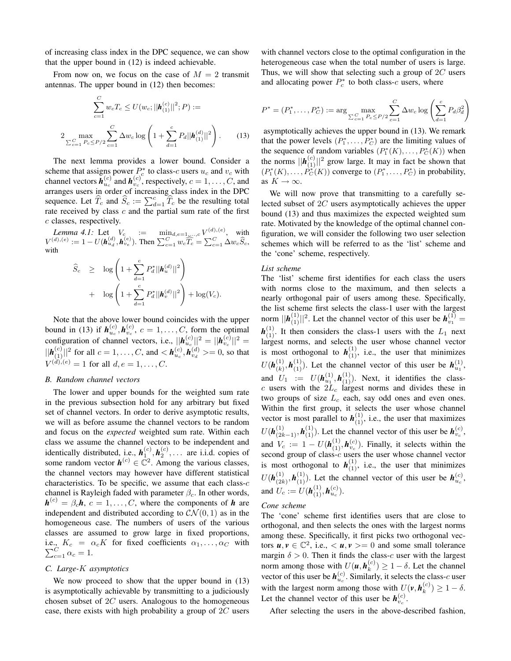of increasing class index in the DPC sequence, we can show that the upper bound in (12) is indeed achievable.

From now on, we focus on the case of  $M = 2$  transmit antennas. The upper bound in (12) then becomes:

$$
\sum_{c=1}^{C} w_c T_c \le U(w_c; ||\mathbf{h}_{(1)}^{(c)}||^2; P) :=
$$
  

$$
2 \max_{\sum_{c=1}^{C} P_c \le P/2} \sum_{c=1}^{C} \Delta w_c \log \left( 1 + \sum_{d=1}^{c} P_d ||\mathbf{h}_{(1)}^{(d)}||^2 \right).
$$
 (13)

The next lemma provides a lower bound. Consider a scheme that assigns power  $P_c^*$  to class-c users  $u_c$  and  $v_c$  with channel vectors  $h_{u_c}^{(c)}$  and  $h_{v_c}^{(c)}$ , respectively,  $c = 1, \ldots, C$ , and arranges users in order of increasing class index in the DPC sequence. Let  $\widehat{T}_c$  and  $\widehat{S}_c := \sum_{d=1}^c \widehat{T}_c$  be the resulting total rate received by class  $c$  and the partial sum rate of the first c classes, respectively.

*Lemma 4.1*: Let  $V_c$  :=  $\min_{d,e=1,...,c} V^{(d),(e)}$ , with  $V^{(d),(e)} := 1 - U(h_{u_d}^{(d)}, h_{v_e}^{(e)})$ . Then  $\sum_{c=1}^{C} w_c \widehat{T}_c = \sum_{c=1}^{C} \Delta w_c \widehat{S}_c$ , with

$$
\hat{S}_c \geq \log \left( 1 + \sum_{d=1}^c P_d^* ||\bm{h}_u^{(d)}||^2 \right) + \log \left( 1 + \sum_{d=1}^c P_d^* ||\bm{h}_v^{(d)}||^2 \right) + \log(V_c).
$$

Note that the above lower bound coincides with the upper bound in (13) if  $h_{u_c}^{(c)}$ ,  $h_{v_c}^{(c)}$ ,  $c = 1, \ldots, C$ , form the optimal configuration of channel vectors, i.e.,  $||\boldsymbol{h}_{u_c}^{(c)}||^2 = ||\boldsymbol{h}_{v_c}^{(c)}||^2 =$  $||\bm{h}_{(1)}^{(c)}||^2$  for all  $c = 1, ..., C$ , and  $<$   $\bm{h}_{u_c}^{(c)}$ ,  $\bm{h}_{v_d}^{(d)}$  >= 0, so that  $V^{(d),(e)} = 1$  for all  $d, e = 1, ..., C$ .

## *B. Random channel vectors*

The lower and upper bounds for the weighted sum rate in the previous subsection hold for any arbitrary but fixed set of channel vectors. In order to derive asymptotic results, we will as before assume the channel vectors to be random and focus on the *expected* weighted sum rate. Within each class we assume the channel vectors to be independent and identically distributed, i.e.,  $h_1^{(c)}$ ,  $h_2^{(c)}$ , ... are i.i.d. copies of some random vector  $h^{(c)} \in \mathbb{C}^2$ . Among the various classes, the channel vectors may however have different statistical characteristics. To be specific, we assume that each class- $c$ channel is Rayleigh faded with parameter  $\beta_c$ . In other words,  $h^{(c)} = \beta_c h$ ,  $c = 1, \dots, C$ , where the components of *h* are independent and distributed according to  $\mathcal{CN}(0, 1)$  as in the homogeneous case. The numbers of users of the various classes are assumed to grow large in fixed proportions, i.e.,  $K_c = \alpha_c K$  for fixed coefficients  $\alpha_1, \dots, \alpha_C$  with  $\sum_{c=1}^{C} \alpha_c = 1.$ 

## *C. Large-*K *asymptotics*

We now proceed to show that the upper bound in  $(13)$ is asymptotically achievable by transmitting to a judiciously chosen subset of 2C users. Analogous to the homogeneous case, there exists with high probability a group of  $2C$  users with channel vectors close to the optimal configuration in the heterogeneous case when the total number of users is large. Thus, we will show that selecting such a group of  $2C$  users and allocating power  $P_c^*$  to both class-c users, where

$$
P^* = (P_1^*, \dots, P_C^*) := \arg\max_{\sum_{c=1}^C P_c \le P/2} \sum_{c=1}^C \Delta w_c \log \left( \sum_{d=1}^c P_d \beta_d^2 \right)
$$

asymptotically achieves the upper bound in (13). We remark that the power levels  $(P_1^*, \ldots, P_C^*)$  are the limiting values of the sequence of random variables  $(P_1^*(K), \ldots, P_C^*(K))$  when the norms  $||h_{(1)}^{(c)}||^2$  grow large. It may in fact be shown that  $(P_1^*(K), \ldots, P_C^*(K))$  converge to  $(P_1^*, \ldots, P_C^*)$  in probability, as  $K \to \infty$ .

We will now prove that transmitting to a carefully selected subset of 2C users asymptotically achieves the upper bound (13) and thus maximizes the expected weighted sum rate. Motivated by the knowledge of the optimal channel configuration, we will consider the following two user selection schemes which will be referred to as the 'list' scheme and the 'cone' scheme, respectively.

#### *List scheme*

The 'list' scheme first identifies for each class the users with norms close to the maximum, and then selects a nearly orthogonal pair of users among these. Specifically, the list scheme first selects the class-1 user with the largest norm  $||\boldsymbol{h}_{(1)}^{(1)}||^2$ . Let the channel vector of this user be  $\boldsymbol{h}_{v_1}^{(1)} =$  $h_{(1)}^{(1)}$ . It then considers the class-1 users with the  $L_1$  next largest norms, and selects the user whose channel vector is most orthogonal to  $h_{(1)}^{(1)}$ , i.e., the user that minimizes  $U(\boldsymbol{h}^{(1)}_{(k)})$  $\mathbf{h}_{(k)}^{(1)}, \mathbf{h}_{(1)}^{(1)}$ . Let the channel vector of this user be  $\mathbf{h}_{u_1}^{(1)}$ , and  $U_1 := U(\mathbf{h}_{u_1}^{(1)}, \mathbf{h}_{(1)}^{(1)})$ . Next, it identifies the classc users with the  $2\bar{L}_c$  largest norms and divides these in two groups of size  $L_c$  each, say odd ones and even ones. Within the first group, it selects the user whose channel vector is most parallel to  $h_{(1)}^{(1)}$ , i.e., the user that maximizes  $U(\mathbf{h}_{(2k-1)}^{(1)}, \mathbf{h}_{(1)}^{(1)})$ . Let the channel vector of this user be  $\mathbf{h}_{v_c}^{(c)}$ , and  $V_c := 1 - U(h_{(1)}^{(1)}, h_{v_c}^{(c)})$ . Finally, it selects within the second group of class- $c$  users the user whose channel vector is most orthogonal to  $h_{(1)}^{(1)}$ , i.e., the user that minimizes  $U(\boldsymbol{h}_{\scriptscriptstyle (2k}^{(1)}$  $\mathbf{h}_{(2k)}^{(1)}, \mathbf{h}_{(1)}^{(1)}$ . Let the channel vector of this user be  $\mathbf{h}_{u_c}^{(c)}$ , and  $U_c := U(\mathbf{h}_{(1)}^{(1)}, \mathbf{h}_{u_c}^{(c)})$ .

## *Cone scheme*

The 'cone' scheme first identifies users that are close to orthogonal, and then selects the ones with the largest norms among these. Specifically, it first picks two orthogonal vectors  $u, v \in \mathbb{C}^2$ , i.e.,  $\langle u, v \rangle = 0$  and some small tolerance margin  $\delta > 0$ . Then it finds the class-c user with the largest norm among those with  $U(u, h_k^{(c)}) \geq 1 - \delta$ . Let the channel vector of this user be  $h_{u_c}^{(c)}$ . Similarly, it selects the class-*c* user with the largest norm among those with  $U(\mathbf{v}, \mathbf{h}_k^{(c)}) \geq 1 - \delta$ . Let the channel vector of this user be  $h_{v_c}^{(c)}$ .

After selecting the users in the above-described fashion,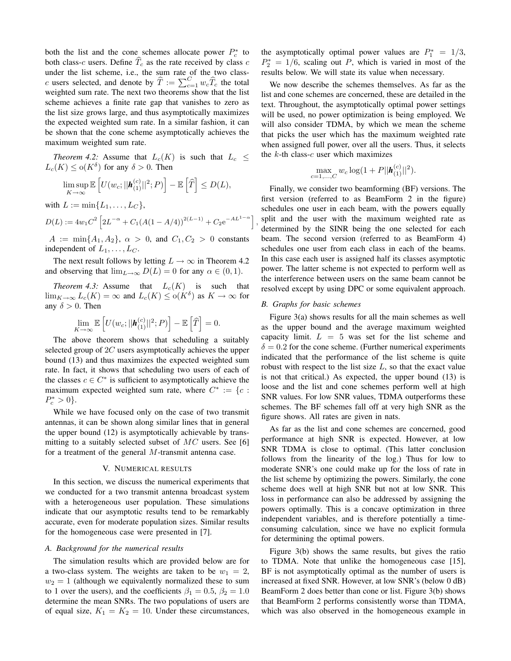both the list and the cone schemes allocate power  $P_c^*$  to both class-c users. Define  $\overline{T}_c$  as the rate received by class c under the list scheme, i.e., the sum rate of the two classc users selected, and denote by  $\widehat{T} := \sum_{c=1}^{C} w_c \widehat{T}_c$  the total weighted sum rate. The next two theorems show that the list scheme achieves a finite rate gap that vanishes to zero as the list size grows large, and thus asymptotically maximizes the expected weighted sum rate. In a similar fashion, it can be shown that the cone scheme asymptotically achieves the maximum weighted sum rate.

*Theorem 4.2:* Assume that  $L_c(K)$  is such that  $L_c \leq$  $L_c(K) \leq \mathrm{o}(K^{\delta})$  for any  $\delta > 0$ . Then

$$
\limsup_{K \to \infty} \mathbb{E}\left[U(w_c;||\bm{h}_{(1)}^{(c)}||^2;P)\right] - \mathbb{E}\left[\widehat{T}\right] \leq D(L),
$$

with  $L := \min\{L_1, ..., L_C\},\$ 

$$
D(L) := 4w_1C^2 \left[ 2L^{-\alpha} + C_1(A(1 - A/4))^{2(L-1)} + C_2 e^{-AL^{1-\alpha}} \right]
$$

 $A := \min\{A_1, A_2\}, \ \alpha > 0, \text{ and } C_1, C_2 > 0 \text{ constants}$ independent of  $L_1, \ldots, L_C$ .

The next result follows by letting  $L \rightarrow \infty$  in Theorem 4.2 and observing that  $\lim_{L\to\infty} D(L) = 0$  for any  $\alpha \in (0,1)$ .

*Theorem 4.3:* Assume that  $L_c(K)$  is such that  $\lim_{K \to \infty} L_c(K) = \infty$  and  $L_c(K) \le o(K^{\delta})$  as  $K \to \infty$  for any  $\delta > 0$ . Then

$$
\lim_{K \to \infty} \mathbb{E}\left[U(w_c;||\mathbf{h}_{(1)}^{(c)}||^2;P)\right] - \mathbb{E}\left[\widehat{T}\right] = 0.
$$

The above theorem shows that scheduling a suitably selected group of 2C users asymptotically achieves the upper bound (13) and thus maximizes the expected weighted sum rate. In fact, it shows that scheduling two users of each of the classes  $c \in C^*$  is sufficient to asymptotically achieve the maximum expected weighted sum rate, where  $C^* := \{c :$  $P_c^* > 0$ .

While we have focused only on the case of two transmit antennas, it can be shown along similar lines that in general the upper bound (12) is asymptotically achievable by transmitting to a suitably selected subset of  $MC$  users. See [6] for a treatment of the general M-transmit antenna case.

## V. NUMERICAL RESULTS

In this section, we discuss the numerical experiments that we conducted for a two transmit antenna broadcast system with a heterogeneous user population. These simulations indicate that our asymptotic results tend to be remarkably accurate, even for moderate population sizes. Similar results for the homogeneous case were presented in [7].

## *A. Background for the numerical results*

The simulation results which are provided below are for a two-class system. The weights are taken to be  $w_1 = 2$ ,  $w_2 = 1$  (although we equivalently normalized these to sum to 1 over the users), and the coefficients  $\beta_1 = 0.5$ ,  $\beta_2 = 1.0$ determine the mean SNRs. The two populations of users are of equal size,  $K_1 = K_2 = 10$ . Under these circumstances,

the asymptotically optimal power values are  $P_1^* = 1/3$ ,  $P_2^* = 1/6$ , scaling out P, which is varied in most of the results below. We will state its value when necessary.

We now describe the schemes themselves. As far as the list and cone schemes are concerned, these are detailed in the text. Throughout, the asymptotically optimal power settings will be used, no power optimization is being employed. We will also consider TDMA, by which we mean the scheme that picks the user which has the maximum weighted rate when assigned full power, over all the users. Thus, it selects the  $k$ -th class- $c$  user which maximizes

$$
\max_{c=1,\dots,C} w_c \log(1+P||\bm{h}_{(1)}^{(c)}||^2).
$$

Finally, we consider two beamforming (BF) versions. The first version (referred to as BeamForm 2 in the figure) schedules one user in each beam, with the powers equally split and the user with the maximum weighted rate as determined by the SINR being the one selected for each beam. The second version (referred to as BeamForm 4) schedules one user from each class in each of the beams. In this case each user is assigned half its classes asymptotic power. The latter scheme is not expected to perform well as the interference between users on the same beam cannot be resolved except by using DPC or some equivalent approach.

### *B. Graphs for basic schemes*

,

Figure 3(a) shows results for all the main schemes as well as the upper bound and the average maximum weighted capacity limit.  $L = 5$  was set for the list scheme and  $\delta = 0.2$  for the cone scheme. (Further numerical experiments indicated that the performance of the list scheme is quite robust with respect to the list size  $L$ , so that the exact value is not that critical.) As expected, the upper bound (13) is loose and the list and cone schemes perform well at high SNR values. For low SNR values, TDMA outperforms these schemes. The BF schemes fall off at very high SNR as the figure shows. All rates are given in nats.

As far as the list and cone schemes are concerned, good performance at high SNR is expected. However, at low SNR TDMA is close to optimal. (This latter conclusion follows from the linearity of the log.) Thus for low to moderate SNR's one could make up for the loss of rate in the list scheme by optimizing the powers. Similarly, the cone scheme does well at high SNR but not at low SNR. This loss in performance can also be addressed by assigning the powers optimally. This is a concave optimization in three independent variables, and is therefore potentially a timeconsuming calculation, since we have no explicit formula for determining the optimal powers.

Figure 3(b) shows the same results, but gives the ratio to TDMA. Note that unlike the homogeneous case [15], BF is not asymptotically optimal as the number of users is increased at fixed SNR. However, at low SNR's (below 0 dB) BeamForm 2 does better than cone or list. Figure 3(b) shows that BeamForm 2 performs consistently worse than TDMA, which was also observed in the homogeneous example in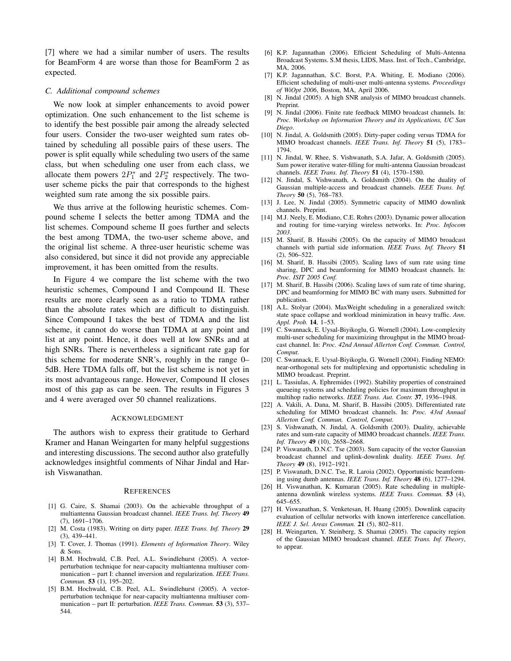[7] where we had a similar number of users. The results for BeamForm 4 are worse than those for BeamForm 2 as expected.

## *C. Additional compound schemes*

We now look at simpler enhancements to avoid power optimization. One such enhancement to the list scheme is to identify the best possible pair among the already selected four users. Consider the two-user weighted sum rates obtained by scheduling all possible pairs of these users. The power is split equally while scheduling two users of the same class, but when scheduling one user from each class, we allocate them powers  $2P_1^*$  and  $2P_2^*$  respectively. The twouser scheme picks the pair that corresponds to the highest weighted sum rate among the six possible pairs.

We thus arrive at the following heuristic schemes. Compound scheme I selects the better among TDMA and the list schemes. Compound scheme II goes further and selects the best among TDMA, the two-user scheme above, and the original list scheme. A three-user heuristic scheme was also considered, but since it did not provide any appreciable improvement, it has been omitted from the results.

In Figure 4 we compare the list scheme with the two heuristic schemes, Compound I and Compound II. These results are more clearly seen as a ratio to TDMA rather than the absolute rates which are difficult to distinguish. Since Compound I takes the best of TDMA and the list scheme, it cannot do worse than TDMA at any point and list at any point. Hence, it does well at low SNRs and at high SNRs. There is nevertheless a significant rate gap for this scheme for moderate SNR's, roughly in the range 0– 5dB. Here TDMA falls off, but the list scheme is not yet in its most advantageous range. However, Compound II closes most of this gap as can be seen. The results in Figures 3 and 4 were averaged over 50 channel realizations.

#### ACKNOWLEDGMENT

The authors wish to express their gratitude to Gerhard Kramer and Hanan Weingarten for many helpful suggestions and interesting discussions. The second author also gratefully acknowledges insightful comments of Nihar Jindal and Harish Viswanathan.

#### **REFERENCES**

- [1] G. Caire, S. Shamai (2003). On the achievable throughput of a multiantenna Gaussian broadcast channel. *IEEE Trans. Inf. Theory* **49** (7), 1691–1706.
- [2] M. Costa (1983). Writing on dirty paper. *IEEE Trans. Inf. Theory* **29** (3), 439–441.
- [3] T. Cover, J. Thomas (1991). *Elements of Information Theory*. Wiley & Sons.
- [4] B.M. Hochwald, C.B. Peel, A.L. Swindlehurst (2005). A vectorperturbation technique for near-capacity multiantenna multiuser communication – part I: channel inversion and regularization. *IEEE Trans. Commun.* **53** (1), 195–202.
- [5] B.M. Hochwald, C.B. Peel, A.L. Swindlehurst (2005). A vectorperturbation technique for near-capacity multiantenna multiuser communication – part II: perturbation. *IEEE Trans. Commun.* **53** (3), 537– 544.
- [6] K.P. Jagannathan (2006). Efficient Scheduling of Multi-Antenna Broadcast Systems. S.M thesis, LIDS, Mass. Inst. of Tech., Cambridge, MA, 2006.
- [7] K.P. Jagannathan, S.C. Borst, P.A. Whiting, E. Modiano (2006). Efficient scheduling of multi-user multi-antenna systems. *Proceedings of WiOpt 2006*, Boston, MA, April 2006.
- [8] N. Jindal (2005). A high SNR analysis of MIMO broadcast channels. Preprint.
- [9] N. Jindal (2006). Finite rate feedback MIMO broadcast channels. In: *Proc. Workshop on Information Theory and its Applications, UC San Diego*.
- [10] N. Jindal, A. Goldsmith (2005). Dirty-paper coding versus TDMA for MIMO broadcast channels. *IEEE Trans. Inf. Theory* **51** (5), 1783– 1794.
- [11] N. Jindal, W. Rhee, S. Vishwanath, S.A. Jafar, A. Goldsmith (2005). Sum power iterative water-filling for multi-antenna Gaussian broadcast channels. *IEEE Trans. Inf. Theory* **51** (4), 1570–1580.
- [12] N. Jindal, S. Vishwanath, A. Goldsmith (2004). On the duality of Gaussian multiple-access and broadcast channels. *IEEE Trans. Inf. Theory* **50** (5), 768–783.
- [13] J. Lee, N. Jindal (2005). Symmetric capacity of MIMO downlink channels. Preprint.
- [14] M.J. Neely, E. Modiano, C.E. Rohrs (2003). Dynamic power allocation and routing for time-varying wireless networks. In: *Proc. Infocom 2003*.
- [15] M. Sharif, B. Hassibi (2005). On the capacity of MIMO broadcast channels with partial side information. *IEEE Trans. Inf. Theory* **51** (2), 506–522.
- [16] M. Sharif, B. Hassibi (2005). Scaling laws of sum rate using time sharing, DPC and beamforming for MIMO broadcast channels. In: *Proc. ISIT 2005 Conf.*
- [17] M. Sharif, B. Hassibi (2006). Scaling laws of sum rate of time sharing, DPC and beamforming for MIMO BC with many users. Submitted for publication.
- [18] A.L. Stolyar (2004). MaxWeight scheduling in a generalized switch: state space collapse and workload minimization in heavy traffic. *Ann. Appl. Prob.* **14**, 1–53.
- [19] C. Swannack, E. Uysal-Biyikoglu, G. Wornell (2004). Low-complexity multi-user scheduling for maximizing throughput in the MIMO broadcast channel. In: *Proc. 42nd Annual Allerton Conf. Commun. Control, Comput.*
- [20] C. Swannack, E. Uysal-Biyikoglu, G. Wornell (2004). Finding NEMO: near-orthogonal sets for multiplexing and opportunistic scheduling in MIMO broadcast. Preprint.
- [21] L. Tassiulas, A. Ephremides (1992). Stability properties of constrained queueing systems and scheduling policies for maximum throughput in multihop radio networks. *IEEE Trans. Aut. Contr.* **37**, 1936–1948.
- [22] A. Vakili, A. Dana, M. Sharif, B. Hassibi (2005). Differentiated rate scheduling for MIMO broadcast channels. In: *Proc. 43rd Annual Allerton Conf. Commun. Control, Comput.*
- [23] S. Vishwanath, N. Jindal, A. Goldsmith (2003). Duality, achievable rates and sum-rate capacity of MIMO broadcast channels. *IEEE Trans. Inf. Theory* **49** (10), 2658–2668.
- [24] P. Viswanath, D.N.C. Tse (2003). Sum capacity of the vector Gaussian broadcast channel and uplink-downlink duality. *IEEE Trans. Inf. Theory* **49** (8), 1912–1921.
- [25] P. Viswanath, D.N.C. Tse, R. Laroia (2002). Opportunistic beamforming using dumb antennas. *IEEE Trans. Inf. Theory* **48** (6), 1277–1294.
- [26] H. Viswanathan, K. Kumaran (2005). Rate scheduling in multipleantenna downlink wireless systems. *IEEE Trans. Commun.* **53** (4), 645–655.
- [27] H. Viswanathan, S. Venketesan, H. Huang (2005). Downlink capacity evaluation of cellular networks with known interference cancellation. *IEEE J. Sel. Areas Commun.* **21** (5), 802–811.
- [28] H. Weingarten, Y. Steinberg, S. Shamai (2005). The capacity region of the Gaussian MIMO broadcast channel. *IEEE Trans. Inf. Theory*, to appear.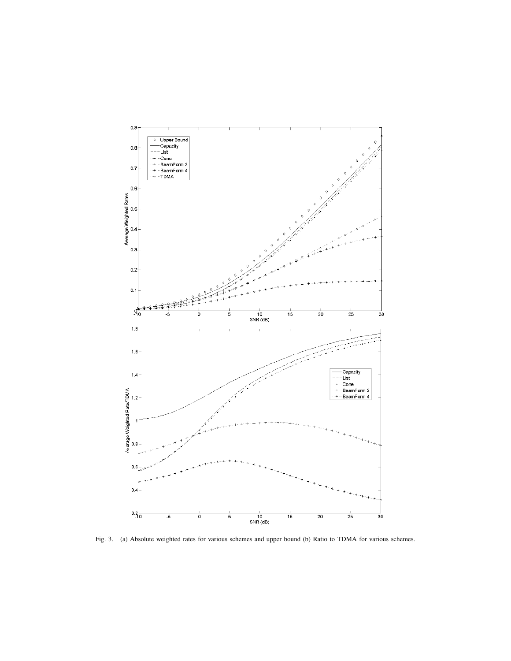

Fig. 3. (a) Absolute weighted rates for various schemes and upper bound (b) Ratio to TDMA for various schemes.